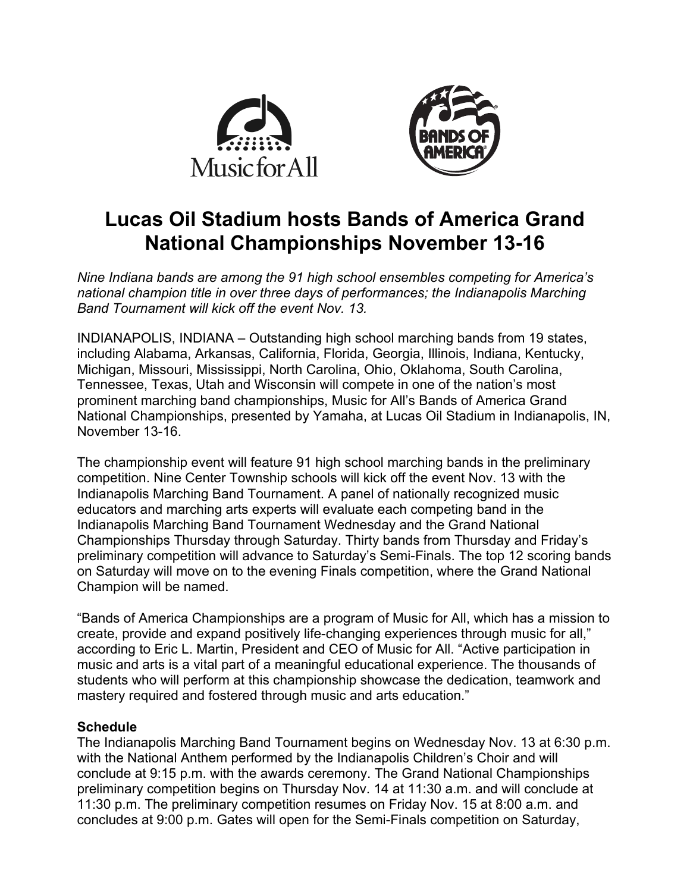



# **Lucas Oil Stadium hosts Bands of America Grand National Championships November 13-16**

*Nine Indiana bands are among the 91 high school ensembles competing for America's national champion title in over three days of performances; the Indianapolis Marching Band Tournament will kick off the event Nov. 13.*

INDIANAPOLIS, INDIANA – Outstanding high school marching bands from 19 states, including Alabama, Arkansas, California, Florida, Georgia, Illinois, Indiana, Kentucky, Michigan, Missouri, Mississippi, North Carolina, Ohio, Oklahoma, South Carolina, Tennessee, Texas, Utah and Wisconsin will compete in one of the nation's most prominent marching band championships, Music for All's Bands of America Grand National Championships, presented by Yamaha, at Lucas Oil Stadium in Indianapolis, IN, November 13-16.

The championship event will feature 91 high school marching bands in the preliminary competition. Nine Center Township schools will kick off the event Nov. 13 with the Indianapolis Marching Band Tournament. A panel of nationally recognized music educators and marching arts experts will evaluate each competing band in the Indianapolis Marching Band Tournament Wednesday and the Grand National Championships Thursday through Saturday. Thirty bands from Thursday and Friday's preliminary competition will advance to Saturday's Semi-Finals. The top 12 scoring bands on Saturday will move on to the evening Finals competition, where the Grand National Champion will be named.

"Bands of America Championships are a program of Music for All, which has a mission to create, provide and expand positively life-changing experiences through music for all," according to Eric L. Martin, President and CEO of Music for All. "Active participation in music and arts is a vital part of a meaningful educational experience. The thousands of students who will perform at this championship showcase the dedication, teamwork and mastery required and fostered through music and arts education."

## **Schedule**

The Indianapolis Marching Band Tournament begins on Wednesday Nov. 13 at 6:30 p.m. with the National Anthem performed by the Indianapolis Children's Choir and will conclude at 9:15 p.m. with the awards ceremony. The Grand National Championships preliminary competition begins on Thursday Nov. 14 at 11:30 a.m. and will conclude at 11:30 p.m. The preliminary competition resumes on Friday Nov. 15 at 8:00 a.m. and concludes at 9:00 p.m. Gates will open for the Semi-Finals competition on Saturday,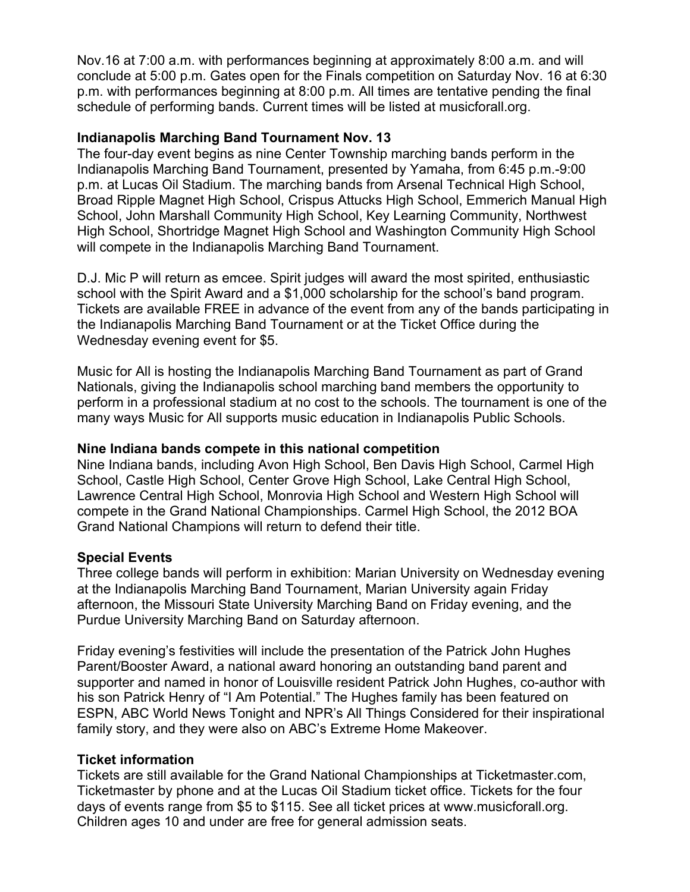Nov.16 at 7:00 a.m. with performances beginning at approximately 8:00 a.m. and will conclude at 5:00 p.m. Gates open for the Finals competition on Saturday Nov. 16 at 6:30 p.m. with performances beginning at 8:00 p.m. All times are tentative pending the final schedule of performing bands. Current times will be listed at musicforall.org.

## **Indianapolis Marching Band Tournament Nov. 13**

The four-day event begins as nine Center Township marching bands perform in the Indianapolis Marching Band Tournament, presented by Yamaha, from 6:45 p.m.-9:00 p.m. at Lucas Oil Stadium. The marching bands from Arsenal Technical High School, Broad Ripple Magnet High School, Crispus Attucks High School, Emmerich Manual High School, John Marshall Community High School, Key Learning Community, Northwest High School, Shortridge Magnet High School and Washington Community High School will compete in the Indianapolis Marching Band Tournament.

D.J. Mic P will return as emcee. Spirit judges will award the most spirited, enthusiastic school with the Spirit Award and a \$1,000 scholarship for the school's band program. Tickets are available FREE in advance of the event from any of the bands participating in the Indianapolis Marching Band Tournament or at the Ticket Office during the Wednesday evening event for \$5.

Music for All is hosting the Indianapolis Marching Band Tournament as part of Grand Nationals, giving the Indianapolis school marching band members the opportunity to perform in a professional stadium at no cost to the schools. The tournament is one of the many ways Music for All supports music education in Indianapolis Public Schools.

## **Nine Indiana bands compete in this national competition**

Nine Indiana bands, including Avon High School, Ben Davis High School, Carmel High School, Castle High School, Center Grove High School, Lake Central High School, Lawrence Central High School, Monrovia High School and Western High School will compete in the Grand National Championships. Carmel High School, the 2012 BOA Grand National Champions will return to defend their title.

### **Special Events**

Three college bands will perform in exhibition: Marian University on Wednesday evening at the Indianapolis Marching Band Tournament, Marian University again Friday afternoon, the Missouri State University Marching Band on Friday evening, and the Purdue University Marching Band on Saturday afternoon.

Friday evening's festivities will include the presentation of the Patrick John Hughes Parent/Booster Award, a national award honoring an outstanding band parent and supporter and named in honor of Louisville resident Patrick John Hughes, co-author with his son Patrick Henry of "I Am Potential." The Hughes family has been featured on ESPN, ABC World News Tonight and NPR's All Things Considered for their inspirational family story, and they were also on ABC's Extreme Home Makeover.

### **Ticket information**

Tickets are still available for the Grand National Championships at Ticketmaster.com, Ticketmaster by phone and at the Lucas Oil Stadium ticket office. Tickets for the four days of events range from \$5 to \$115. See all ticket prices at www.musicforall.org. Children ages 10 and under are free for general admission seats.